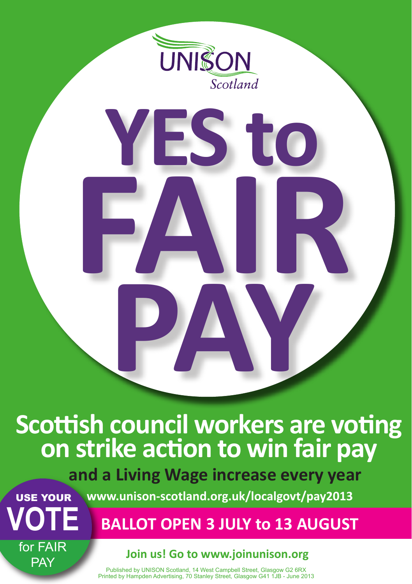

**FAIR**

**PAY**

**YES to**

## **Scottish council workers are voting on strike action to win fair pay**

**<sup>U</sup>NISO<sup>N</sup> <sup>S</sup>cotlan<sup>d</sup>** USE YOUR  **and a Living Wage increase every year www.unison-scotland.org.uk/localgovt/pay2013**

 **BALLOT OPEN 3 JULY to 13 AUGUST**

**for PAY** for FAIR

**VOTE**

## **Join us! Go to www.joinunison.org**

Published by UNISON Scotland, 14 West Campbell Street, Glasgow G2 6RX Printed by Hampden Advertising, 70 Stanley Street, Glasgow G41 1JB - June 2013